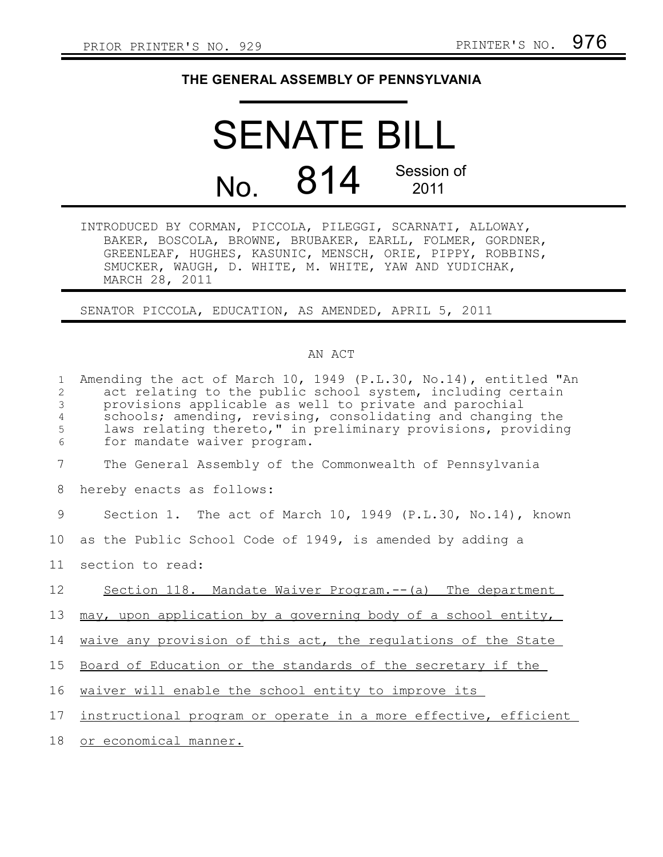## **THE GENERAL ASSEMBLY OF PENNSYLVANIA**

## SENATE BILL No. 814 Session of 2011

INTRODUCED BY CORMAN, PICCOLA, PILEGGI, SCARNATI, ALLOWAY, BAKER, BOSCOLA, BROWNE, BRUBAKER, EARLL, FOLMER, GORDNER, GREENLEAF, HUGHES, KASUNIC, MENSCH, ORIE, PIPPY, ROBBINS, SMUCKER, WAUGH, D. WHITE, M. WHITE, YAW AND YUDICHAK, MARCH 28, 2011

SENATOR PICCOLA, EDUCATION, AS AMENDED, APRIL 5, 2011

## AN ACT

| $\mathbf{1}$<br>2<br>$\mathcal{S}$<br>$\overline{4}$<br>5<br>6 | Amending the act of March 10, 1949 (P.L.30, No.14), entitled "An<br>act relating to the public school system, including certain<br>provisions applicable as well to private and parochial<br>schools; amending, revising, consolidating and changing the<br>laws relating thereto," in preliminary provisions, providing<br>for mandate waiver program. |
|----------------------------------------------------------------|---------------------------------------------------------------------------------------------------------------------------------------------------------------------------------------------------------------------------------------------------------------------------------------------------------------------------------------------------------|
| 7                                                              | The General Assembly of the Commonwealth of Pennsylvania                                                                                                                                                                                                                                                                                                |
| 8                                                              | hereby enacts as follows:                                                                                                                                                                                                                                                                                                                               |
| 9                                                              | Section 1. The act of March 10, 1949 (P.L.30, No.14), known                                                                                                                                                                                                                                                                                             |
| 10                                                             | as the Public School Code of 1949, is amended by adding a                                                                                                                                                                                                                                                                                               |
| 11                                                             | section to read:                                                                                                                                                                                                                                                                                                                                        |
| 12                                                             | Section 118. Mandate Waiver Program. -- (a) The department                                                                                                                                                                                                                                                                                              |
| 13                                                             | may, upon application by a governing body of a school entity,                                                                                                                                                                                                                                                                                           |
| 14                                                             | waive any provision of this act, the regulations of the State                                                                                                                                                                                                                                                                                           |
| 15                                                             | Board of Education or the standards of the secretary if the                                                                                                                                                                                                                                                                                             |
| 16                                                             | waiver will enable the school entity to improve its                                                                                                                                                                                                                                                                                                     |
| 17 <sub>2</sub>                                                | instructional program or operate in a more effective, efficient                                                                                                                                                                                                                                                                                         |
| 18                                                             | or economical manner.                                                                                                                                                                                                                                                                                                                                   |
|                                                                |                                                                                                                                                                                                                                                                                                                                                         |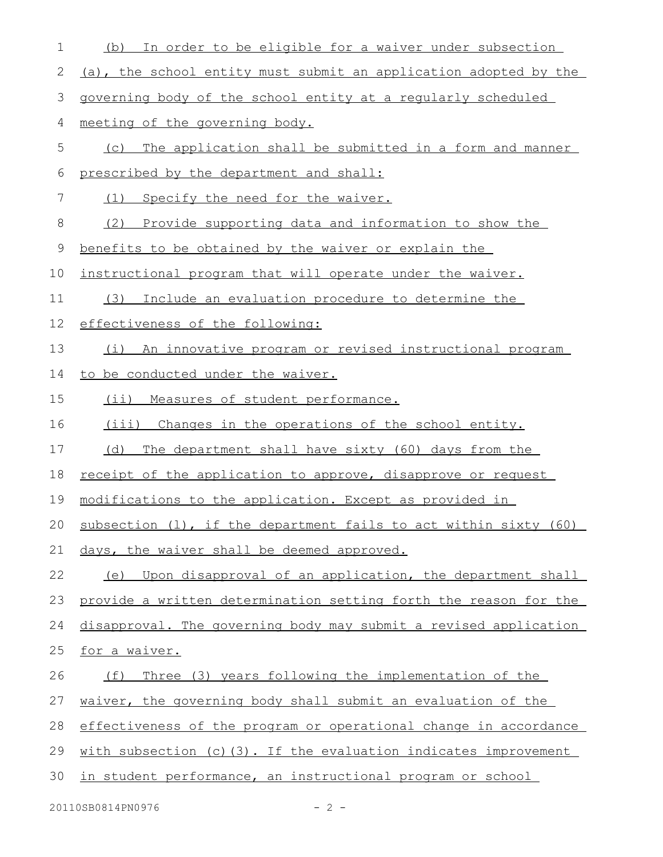| 1  | In order to be eligible for a waiver under subsection<br>(b)        |
|----|---------------------------------------------------------------------|
| 2  | (a), the school entity must submit an application adopted by the    |
| 3  | governing body of the school entity at a regularly scheduled        |
| 4  | meeting of the governing body.                                      |
| 5  | The application shall be submitted in a form and manner<br>(C)      |
| 6  | prescribed by the department and shall:                             |
| 7  | Specify the need for the waiver.<br>(1)                             |
| 8  | (2)<br>Provide supporting data and information to show the          |
| 9  | benefits to be obtained by the waiver or explain the                |
| 10 | instructional program that will operate under the waiver.           |
| 11 | Include an evaluation procedure to determine the<br>(3)             |
| 12 | effectiveness of the following:                                     |
| 13 | (i) An innovative program or revised instructional program          |
| 14 | to be conducted under the waiver.                                   |
| 15 | Measures of student performance.<br>$(i$ i)                         |
| 16 | (iii) Changes in the operations of the school entity.               |
| 17 | (d)<br>The department shall have sixty (60) days from the           |
| 18 | receipt of the application to approve, disapprove or request        |
| 19 | modifications to the application. Except as provided in             |
|    | 20 subsection (1), if the department fails to act within sixty (60) |
| 21 | days, the waiver shall be deemed approved.                          |
| 22 | (e) Upon disapproval of an application, the department shall        |
| 23 | provide a written determination setting forth the reason for the    |
| 24 | disapproval. The governing body may submit a revised application    |
| 25 | for a waiver.                                                       |
| 26 | Three (3) years following the implementation of the<br>(f)          |
| 27 | waiver, the governing body shall submit an evaluation of the        |
| 28 | effectiveness of the program or operational change in accordance    |
| 29 | with subsection (c) (3). If the evaluation indicates improvement    |
| 30 | in student performance, an instructional program or school          |
|    |                                                                     |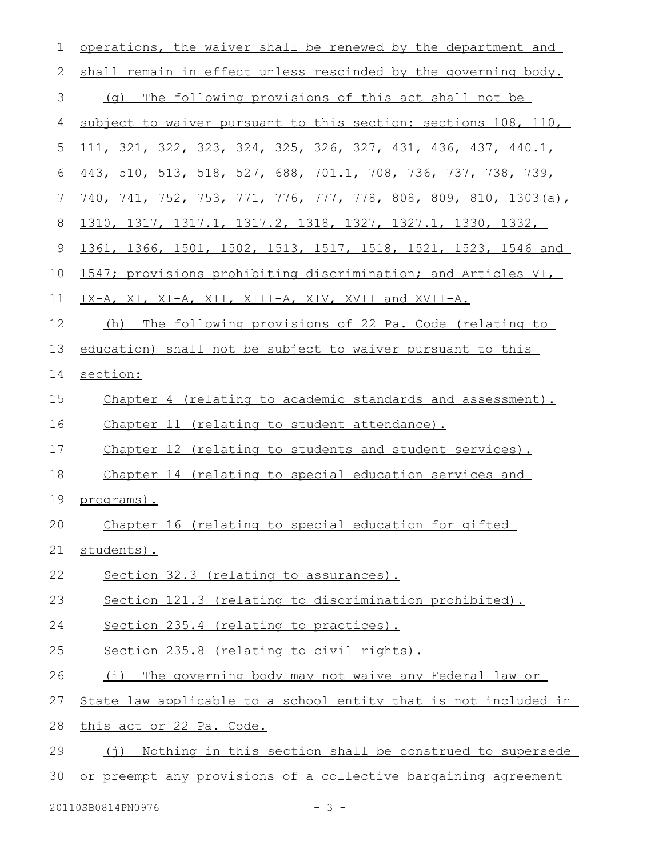| 1            | operations, the waiver shall be renewed by the department and          |
|--------------|------------------------------------------------------------------------|
| $\mathbf{2}$ | shall remain in effect unless rescinded by the governing body.         |
| 3            | (q) The following provisions of this act shall not be                  |
| 4            | subject to waiver pursuant to this section: sections 108, 110,         |
| 5            | 111, 321, 322, 323, 324, 325, 326, 327, 431, 436, 437, 440.1,          |
| 6            | <u>443, 510, 513, 518, 527, 688, 701.1, 708, 736, 737, 738, 739, </u>  |
| 7            | <u>740, 741, 752, 753, 771, 776, 777, 778, 808, 809, 810, 1303(a),</u> |
| 8            | <u>1310, 1317, 1317.1, 1317.2, 1318, 1327, 1327.1, 1330, 1332, </u>    |
| 9            | 1361, 1366, 1501, 1502, 1513, 1517, 1518, 1521, 1523, 1546 and         |
| 10           | 1547; provisions prohibiting discrimination; and Articles VI,          |
| 11           | IX-A, XI, XI-A, XII, XIII-A, XIV, XVII and XVII-A.                     |
| 12           | The following provisions of 22 Pa. Code (relating to<br>(h)            |
| 13           | education) shall not be subject to waiver pursuant to this             |
| 14           | section:                                                               |
| 15           | Chapter 4 (relating to academic standards and assessment).             |
| 16           | Chapter 11 (relating to student attendance).                           |
| 17           | Chapter 12 (relating to students and student services).                |
| 18           | Chapter 14 (relating to special education services and                 |
| 19           | <u>programs).</u>                                                      |
| 20           | Chapter 16 (relating to special education for gifted                   |
| 21           | students).                                                             |
| 22           | Section 32.3 (relating to assurances).                                 |
| 23           | Section 121.3 (relating to discrimination prohibited).                 |
| 24           | Section 235.4 (relating to practices).                                 |
| 25           | Section 235.8 (relating to civil rights).                              |
| 26           | (i) The governing body may not waive any Federal law or                |
| 27           | State law applicable to a school entity that is not included in        |
| 28           | this act or 22 Pa. Code.                                               |
| 29           | (j) Nothing in this section shall be construed to supersede            |
| 30           | or preempt any provisions of a collective bargaining agreement         |

20110SB0814PN0976 - 3 -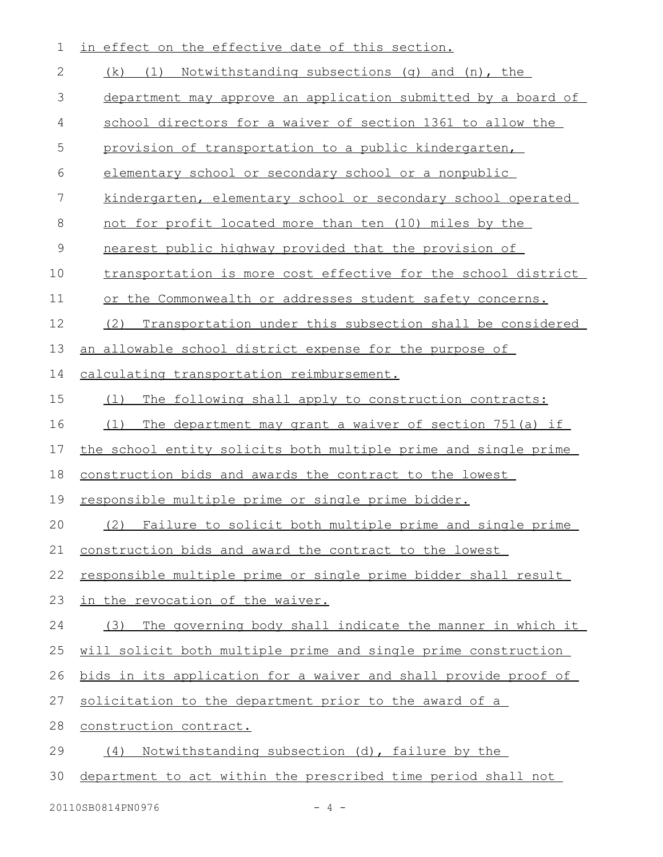| 1            | in effect on the effective date of this section.                |
|--------------|-----------------------------------------------------------------|
| $\mathbf{2}$ | (k) (1) Notwithstanding subsections (g) and (n), the            |
| 3            | department may approve an application submitted by a board of   |
| 4            | school directors for a waiver of section 1361 to allow the      |
| 5            | provision of transportation to a public kindergarten,           |
| 6            | elementary school or secondary school or a nonpublic            |
| 7            | kindergarten, elementary school or secondary school operated    |
| 8            | <u>not for profit located more than ten (10) miles by the</u>   |
| 9            | nearest public highway provided that the provision of           |
| 10           | transportation is more cost effective for the school district   |
| 11           | or the Commonwealth or addresses student safety concerns.       |
| 12           | (2)<br>Transportation under this subsection shall be considered |
| 13           | an allowable school district expense for the purpose of         |
| 14           | calculating transportation reimbursement.                       |
| 15           | The following shall apply to construction contracts:<br>(1)     |
| 16           | The department may grant a waiver of section 751(a) if<br>(1)   |
| 17           | the school entity solicits both multiple prime and single prime |
| 18           | construction bids and awards the contract to the lowest         |
| 19           | responsible multiple prime or single prime bidder.              |
| 20           | (2) Failure to solicit both multiple prime and single prime     |
| 21           | construction bids and award the contract to the lowest          |
| 22           | responsible multiple prime or single prime bidder shall result  |
| 23           | in the revocation of the waiver.                                |
| 24           | (3) The governing body shall indicate the manner in which it    |
| 25           | will solicit both multiple prime and single prime construction  |
| 26           | bids in its application for a waiver and shall provide proof of |
| 27           | solicitation to the department prior to the award of a          |
| 28           | construction contract.                                          |
| 29           | Notwithstanding subsection (d), failure by the<br>(4)           |
| 30           | department to act within the prescribed time period shall not   |

20110SB0814PN0976 - 4 -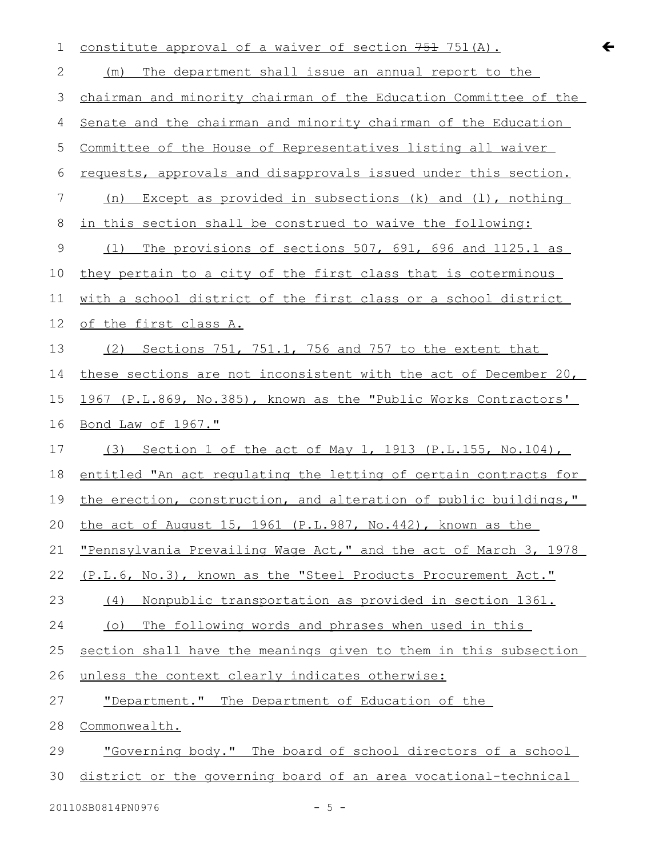| 1              | constitute approval of a waiver of section 751 (A).                | $\leftarrow$ |
|----------------|--------------------------------------------------------------------|--------------|
| 2              | The department shall issue an annual report to the<br>(m)          |              |
| 3              | chairman and minority chairman of the Education Committee of the   |              |
| 4              | Senate and the chairman and minority chairman of the Education     |              |
| 5              | Committee of the House of Representatives listing all waiver       |              |
| 6              | requests, approvals and disapprovals issued under this section.    |              |
| $\overline{7}$ | Except as provided in subsections $(k)$ and $(l)$ , nothing<br>(n) |              |
| 8              | in this section shall be construed to waive the following:         |              |
| $\mathsf 9$    | The provisions of sections 507, 691, 696 and 1125.1 as<br>(1)      |              |
| 10             | they pertain to a city of the first class that is coterminous      |              |
| 11             | with a school district of the first class or a school district     |              |
| 12             | of the first class A.                                              |              |
| 13             | Sections 751, 751.1, 756 and 757 to the extent that<br>(2)         |              |
| 14             | these sections are not inconsistent with the act of December 20,   |              |
| 15             | 1967 (P.L.869, No.385), known as the "Public Works Contractors'    |              |
| 16             | <u>Bond Law of 1967."</u>                                          |              |
| 17             | Section 1 of the act of May 1, 1913 (P.L.155, No.104),<br>(3)      |              |
| 18             | entitled "An act requlating the letting of certain contracts for   |              |
| 19             | the erection, construction, and alteration of public buildings,"   |              |
| 20             | the act of August 15, 1961 (P.L.987, No.442), known as the         |              |
| 21             | "Pennsylvania Prevailing Wage Act," and the act of March 3, 1978   |              |
| 22             | (P.L.6, No.3), known as the "Steel Products Procurement Act."      |              |
| 23             | Nonpublic transportation as provided in section 1361.<br>(4)       |              |
| 24             | The following words and phrases when used in this<br>$(\circ)$     |              |
| 25             | section shall have the meanings given to them in this subsection   |              |
| 26             | unless the context clearly indicates otherwise:                    |              |
| 27             | "Department." The Department of Education of the                   |              |
| 28             | Commonwealth.                                                      |              |
| 29             | "Governing body." The board of school directors of a school        |              |
| 30             | district or the governing board of an area vocational-technical    |              |
|                |                                                                    |              |

20110SB0814PN0976 - 5 -